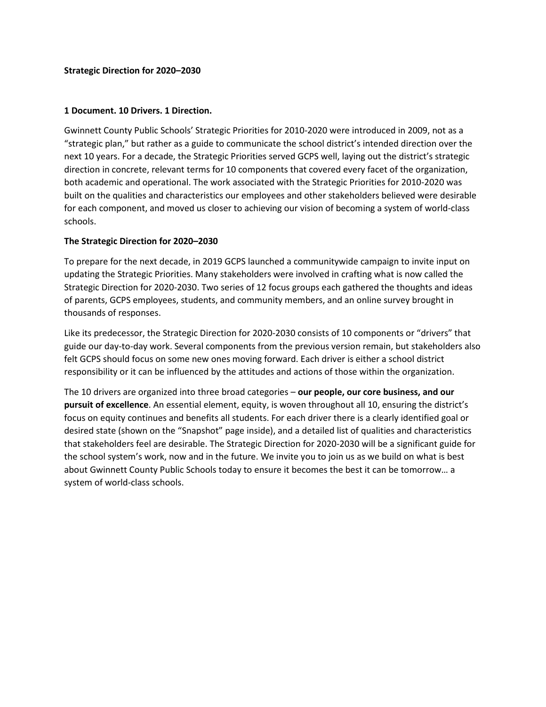# **1 Document. 10 Drivers. 1 Direction.**

Gwinnett County Public Schools' Strategic Priorities for 2010-2020 were introduced in 2009, not as a "strategic plan," but rather as a guide to communicate the school district's intended direction over the next 10 years. For a decade, the Strategic Priorities served GCPS well, laying out the district's strategic direction in concrete, relevant terms for 10 components that covered every facet of the organization, both academic and operational. The work associated with the Strategic Priorities for 2010-2020 was built on the qualities and characteristics our employees and other stakeholders believed were desirable for each component, and moved us closer to achieving our vision of becoming a system of world-class schools.

# **The Strategic Direction for 2020–2030**

To prepare for the next decade, in 2019 GCPS launched a communitywide campaign to invite input on updating the Strategic Priorities. Many stakeholders were involved in crafting what is now called the Strategic Direction for 2020-2030. Two series of 12 focus groups each gathered the thoughts and ideas of parents, GCPS employees, students, and community members, and an online survey brought in thousands of responses.

Like its predecessor, the Strategic Direction for 2020-2030 consists of 10 components or "drivers" that guide our day-to-day work. Several components from the previous version remain, but stakeholders also felt GCPS should focus on some new ones moving forward. Each driver is either a school district responsibility or it can be influenced by the attitudes and actions of those within the organization.

The 10 drivers are organized into three broad categories – **our people, our core business, and our pursuit of excellence**. An essential element, equity, is woven throughout all 10, ensuring the district's focus on equity continues and benefits all students. For each driver there is a clearly identified goal or desired state (shown on the "Snapshot" page inside), and a detailed list of qualities and characteristics that stakeholders feel are desirable. The Strategic Direction for 2020-2030 will be a significant guide for the school system's work, now and in the future. We invite you to join us as we build on what is best about Gwinnett County Public Schools today to ensure it becomes the best it can be tomorrow… a system of world-class schools.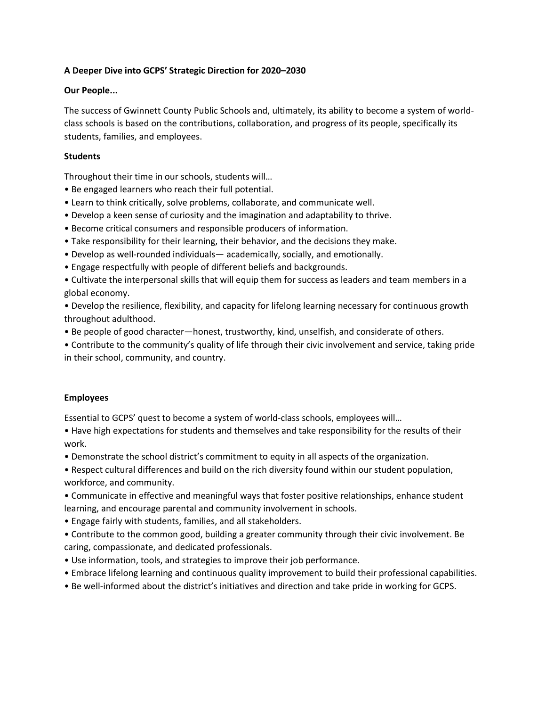# **A Deeper Dive into GCPS' Strategic Direction for 2020–2030**

# **Our People...**

The success of Gwinnett County Public Schools and, ultimately, its ability to become a system of worldclass schools is based on the contributions, collaboration, and progress of its people, specifically its students, families, and employees.

# **Students**

Throughout their time in our schools, students will…

- Be engaged learners who reach their full potential.
- Learn to think critically, solve problems, collaborate, and communicate well.
- Develop a keen sense of curiosity and the imagination and adaptability to thrive.
- Become critical consumers and responsible producers of information.
- Take responsibility for their learning, their behavior, and the decisions they make.
- Develop as well-rounded individuals— academically, socially, and emotionally.
- Engage respectfully with people of different beliefs and backgrounds.
- Cultivate the interpersonal skills that will equip them for success as leaders and team members in a global economy.
- Develop the resilience, flexibility, and capacity for lifelong learning necessary for continuous growth throughout adulthood.
- Be people of good character—honest, trustworthy, kind, unselfish, and considerate of others.
- Contribute to the community's quality of life through their civic involvement and service, taking pride in their school, community, and country.

# **Employees**

Essential to GCPS' quest to become a system of world-class schools, employees will…

• Have high expectations for students and themselves and take responsibility for the results of their work.

• Demonstrate the school district's commitment to equity in all aspects of the organization.

• Respect cultural differences and build on the rich diversity found within our student population, workforce, and community.

• Communicate in effective and meaningful ways that foster positive relationships, enhance student learning, and encourage parental and community involvement in schools.

- Engage fairly with students, families, and all stakeholders.
- Contribute to the common good, building a greater community through their civic involvement. Be caring, compassionate, and dedicated professionals.
- Use information, tools, and strategies to improve their job performance.
- Embrace lifelong learning and continuous quality improvement to build their professional capabilities.
- Be well-informed about the district's initiatives and direction and take pride in working for GCPS.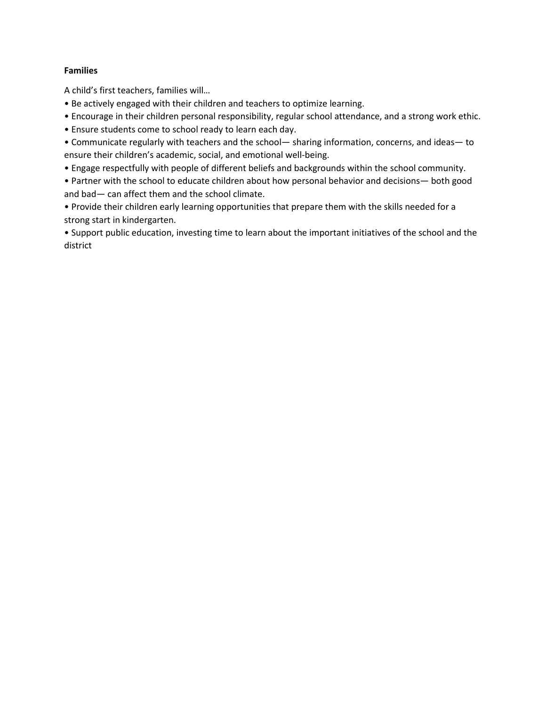#### **Families**

A child's first teachers, families will…

- Be actively engaged with their children and teachers to optimize learning.
- Encourage in their children personal responsibility, regular school attendance, and a strong work ethic.
- Ensure students come to school ready to learn each day.
- Communicate regularly with teachers and the school— sharing information, concerns, and ideas— to ensure their children's academic, social, and emotional well-being.
- Engage respectfully with people of different beliefs and backgrounds within the school community.
- Partner with the school to educate children about how personal behavior and decisions— both good and bad— can affect them and the school climate.
- Provide their children early learning opportunities that prepare them with the skills needed for a strong start in kindergarten.
- Support public education, investing time to learn about the important initiatives of the school and the district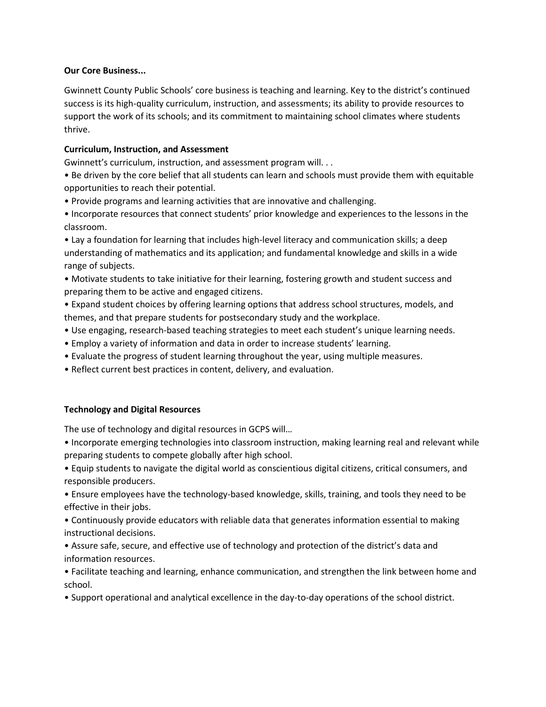# **Our Core Business...**

Gwinnett County Public Schools' core business is teaching and learning. Key to the district's continued success is its high-quality curriculum, instruction, and assessments; its ability to provide resources to support the work of its schools; and its commitment to maintaining school climates where students thrive.

# **Curriculum, Instruction, and Assessment**

Gwinnett's curriculum, instruction, and assessment program will. . .

- Be driven by the core belief that all students can learn and schools must provide them with equitable opportunities to reach their potential.
- Provide programs and learning activities that are innovative and challenging.
- Incorporate resources that connect students' prior knowledge and experiences to the lessons in the classroom.

• Lay a foundation for learning that includes high-level literacy and communication skills; a deep understanding of mathematics and its application; and fundamental knowledge and skills in a wide range of subjects.

• Motivate students to take initiative for their learning, fostering growth and student success and preparing them to be active and engaged citizens.

• Expand student choices by offering learning options that address school structures, models, and themes, and that prepare students for postsecondary study and the workplace.

- Use engaging, research-based teaching strategies to meet each student's unique learning needs.
- Employ a variety of information and data in order to increase students' learning.
- Evaluate the progress of student learning throughout the year, using multiple measures.
- Reflect current best practices in content, delivery, and evaluation.

# **Technology and Digital Resources**

The use of technology and digital resources in GCPS will…

• Incorporate emerging technologies into classroom instruction, making learning real and relevant while preparing students to compete globally after high school.

• Equip students to navigate the digital world as conscientious digital citizens, critical consumers, and responsible producers.

• Ensure employees have the technology-based knowledge, skills, training, and tools they need to be effective in their jobs.

• Continuously provide educators with reliable data that generates information essential to making instructional decisions.

• Assure safe, secure, and effective use of technology and protection of the district's data and information resources.

• Facilitate teaching and learning, enhance communication, and strengthen the link between home and school.

• Support operational and analytical excellence in the day-to-day operations of the school district.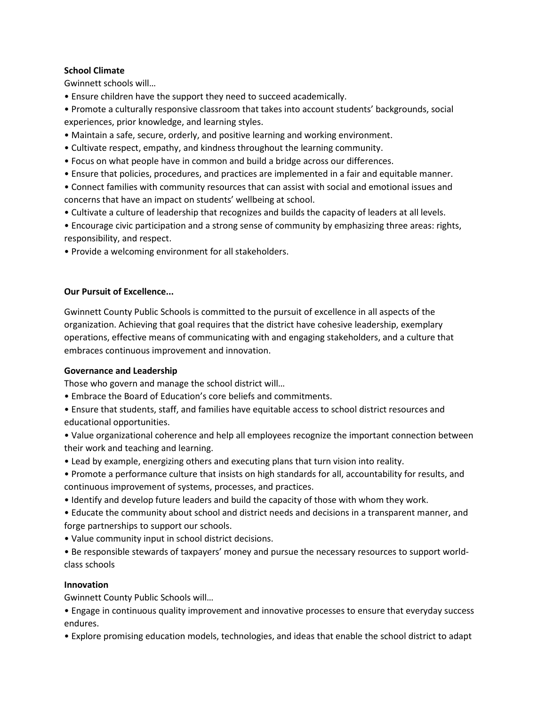# **School Climate**

Gwinnett schools will…

• Ensure children have the support they need to succeed academically.

• Promote a culturally responsive classroom that takes into account students' backgrounds, social experiences, prior knowledge, and learning styles.

- Maintain a safe, secure, orderly, and positive learning and working environment.
- Cultivate respect, empathy, and kindness throughout the learning community.
- Focus on what people have in common and build a bridge across our differences.
- Ensure that policies, procedures, and practices are implemented in a fair and equitable manner.
- Connect families with community resources that can assist with social and emotional issues and concerns that have an impact on students' wellbeing at school.
- Cultivate a culture of leadership that recognizes and builds the capacity of leaders at all levels.

• Encourage civic participation and a strong sense of community by emphasizing three areas: rights, responsibility, and respect.

• Provide a welcoming environment for all stakeholders.

# **Our Pursuit of Excellence...**

Gwinnett County Public Schools is committed to the pursuit of excellence in all aspects of the organization. Achieving that goal requires that the district have cohesive leadership, exemplary operations, effective means of communicating with and engaging stakeholders, and a culture that embraces continuous improvement and innovation.

# **Governance and Leadership**

Those who govern and manage the school district will…

- Embrace the Board of Education's core beliefs and commitments.
- Ensure that students, staff, and families have equitable access to school district resources and educational opportunities.
- Value organizational coherence and help all employees recognize the important connection between their work and teaching and learning.
- Lead by example, energizing others and executing plans that turn vision into reality.
- Promote a performance culture that insists on high standards for all, accountability for results, and continuous improvement of systems, processes, and practices.
- Identify and develop future leaders and build the capacity of those with whom they work.
- Educate the community about school and district needs and decisions in a transparent manner, and forge partnerships to support our schools.
- Value community input in school district decisions.
- Be responsible stewards of taxpayers' money and pursue the necessary resources to support worldclass schools

# **Innovation**

Gwinnett County Public Schools will…

• Engage in continuous quality improvement and innovative processes to ensure that everyday success endures.

• Explore promising education models, technologies, and ideas that enable the school district to adapt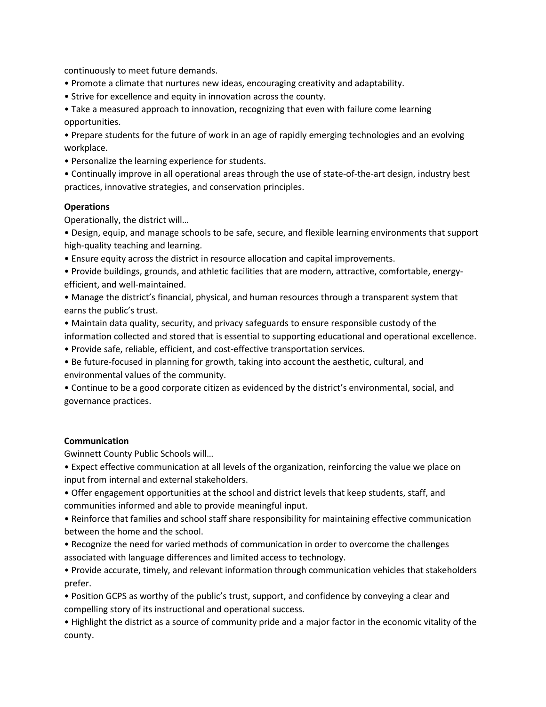continuously to meet future demands.

- Promote a climate that nurtures new ideas, encouraging creativity and adaptability.
- Strive for excellence and equity in innovation across the county.

• Take a measured approach to innovation, recognizing that even with failure come learning opportunities.

• Prepare students for the future of work in an age of rapidly emerging technologies and an evolving workplace.

• Personalize the learning experience for students.

• Continually improve in all operational areas through the use of state-of-the-art design, industry best practices, innovative strategies, and conservation principles.

#### **Operations**

Operationally, the district will…

• Design, equip, and manage schools to be safe, secure, and flexible learning environments that support high-quality teaching and learning.

- Ensure equity across the district in resource allocation and capital improvements.
- Provide buildings, grounds, and athletic facilities that are modern, attractive, comfortable, energyefficient, and well-maintained.
- Manage the district's financial, physical, and human resources through a transparent system that earns the public's trust.
- Maintain data quality, security, and privacy safeguards to ensure responsible custody of the information collected and stored that is essential to supporting educational and operational excellence.
- Provide safe, reliable, efficient, and cost-effective transportation services.
- Be future-focused in planning for growth, taking into account the aesthetic, cultural, and environmental values of the community.

• Continue to be a good corporate citizen as evidenced by the district's environmental, social, and governance practices.

#### **Communication**

Gwinnett County Public Schools will…

• Expect effective communication at all levels of the organization, reinforcing the value we place on input from internal and external stakeholders.

- Offer engagement opportunities at the school and district levels that keep students, staff, and communities informed and able to provide meaningful input.
- Reinforce that families and school staff share responsibility for maintaining effective communication between the home and the school.
- Recognize the need for varied methods of communication in order to overcome the challenges associated with language differences and limited access to technology.
- Provide accurate, timely, and relevant information through communication vehicles that stakeholders prefer.
- Position GCPS as worthy of the public's trust, support, and confidence by conveying a clear and compelling story of its instructional and operational success.

• Highlight the district as a source of community pride and a major factor in the economic vitality of the county.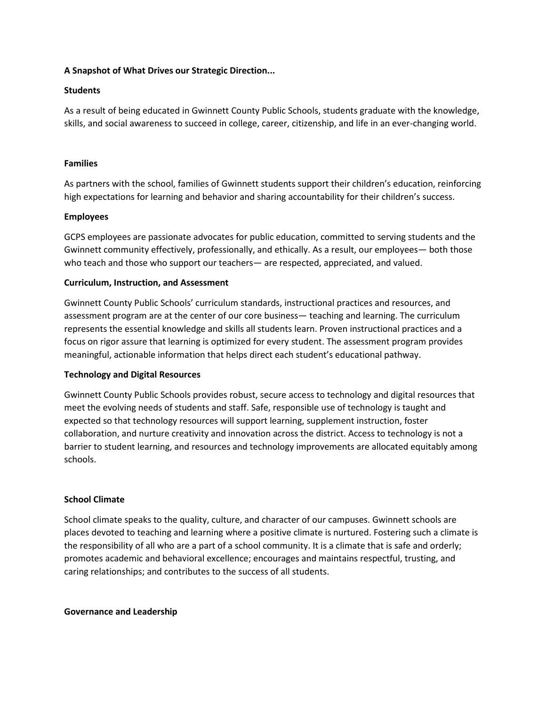# **A Snapshot of What Drives our Strategic Direction...**

# **Students**

As a result of being educated in Gwinnett County Public Schools, students graduate with the knowledge, skills, and social awareness to succeed in college, career, citizenship, and life in an ever-changing world.

# **Families**

As partners with the school, families of Gwinnett students support their children's education, reinforcing high expectations for learning and behavior and sharing accountability for their children's success.

# **Employees**

GCPS employees are passionate advocates for public education, committed to serving students and the Gwinnett community effectively, professionally, and ethically. As a result, our employees— both those who teach and those who support our teachers— are respected, appreciated, and valued.

# **Curriculum, Instruction, and Assessment**

Gwinnett County Public Schools' curriculum standards, instructional practices and resources, and assessment program are at the center of our core business— teaching and learning. The curriculum represents the essential knowledge and skills all students learn. Proven instructional practices and a focus on rigor assure that learning is optimized for every student. The assessment program provides meaningful, actionable information that helps direct each student's educational pathway.

# **Technology and Digital Resources**

Gwinnett County Public Schools provides robust, secure access to technology and digital resources that meet the evolving needs of students and staff. Safe, responsible use of technology is taught and expected so that technology resources will support learning, supplement instruction, foster collaboration, and nurture creativity and innovation across the district. Access to technology is not a barrier to student learning, and resources and technology improvements are allocated equitably among schools.

# **School Climate**

School climate speaks to the quality, culture, and character of our campuses. Gwinnett schools are places devoted to teaching and learning where a positive climate is nurtured. Fostering such a climate is the responsibility of all who are a part of a school community. It is a climate that is safe and orderly; promotes academic and behavioral excellence; encourages and maintains respectful, trusting, and caring relationships; and contributes to the success of all students.

# **Governance and Leadership**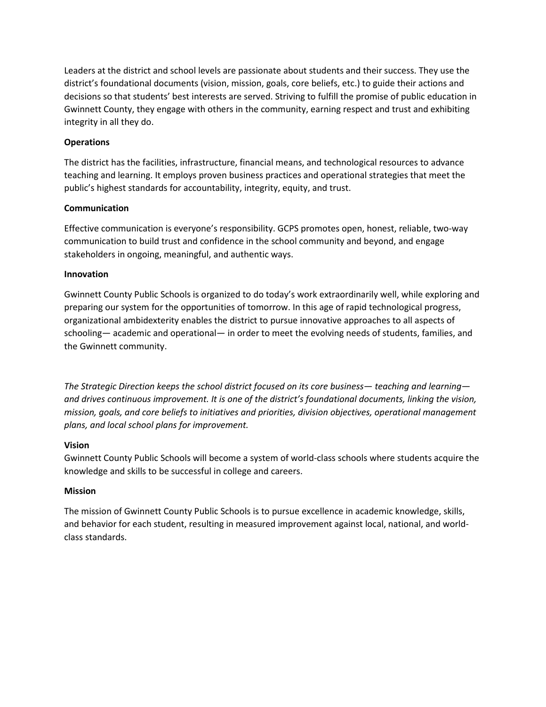Leaders at the district and school levels are passionate about students and their success. They use the district's foundational documents (vision, mission, goals, core beliefs, etc.) to guide their actions and decisions so that students' best interests are served. Striving to fulfill the promise of public education in Gwinnett County, they engage with others in the community, earning respect and trust and exhibiting integrity in all they do.

# **Operations**

The district has the facilities, infrastructure, financial means, and technological resources to advance teaching and learning. It employs proven business practices and operational strategies that meet the public's highest standards for accountability, integrity, equity, and trust.

# **Communication**

Effective communication is everyone's responsibility. GCPS promotes open, honest, reliable, two-way communication to build trust and confidence in the school community and beyond, and engage stakeholders in ongoing, meaningful, and authentic ways.

# **Innovation**

Gwinnett County Public Schools is organized to do today's work extraordinarily well, while exploring and preparing our system for the opportunities of tomorrow. In this age of rapid technological progress, organizational ambidexterity enables the district to pursue innovative approaches to all aspects of schooling— academic and operational— in order to meet the evolving needs of students, families, and the Gwinnett community.

*The Strategic Direction keeps the school district focused on its core business— teaching and learning and drives continuous improvement. It is one of the district's foundational documents, linking the vision, mission, goals, and core beliefs to initiatives and priorities, division objectives, operational management plans, and local school plans for improvement.*

# **Vision**

Gwinnett County Public Schools will become a system of world-class schools where students acquire the knowledge and skills to be successful in college and careers.

# **Mission**

The mission of Gwinnett County Public Schools is to pursue excellence in academic knowledge, skills, and behavior for each student, resulting in measured improvement against local, national, and worldclass standards.